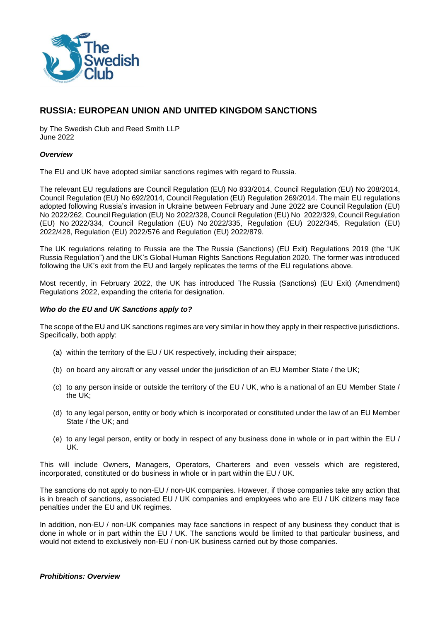

# **RUSSIA: EUROPEAN UNION AND UNITED KINGDOM SANCTIONS**

by The Swedish Club and Reed Smith LLP June 2022

### *Overview*

The EU and UK have adopted similar sanctions regimes with regard to Russia.

The relevant EU regulations are Council Regulation (EU) No 833/2014, Council Regulation (EU) No 208/2014, Council Regulation (EU) No 692/2014, Council Regulation (EU) Regulation 269/2014. The main EU regulations adopted following Russia's invasion in Ukraine between February and June 2022 are Council Regulation (EU) No 2022/262, Council Regulation (EU) No 2022/328, Council Regulation (EU) No 2022/329, Council Regulation (EU) No 2022/334, Council Regulation (EU) No 2022/335, Regulation (EU) 2022/345, Regulation (EU) 2022/428, Regulation (EU) 2022/576 and Regulation (EU) 2022/879.

The UK regulations relating to Russia are the The Russia (Sanctions) (EU Exit) Regulations 2019 (the "UK Russia Regulation") and the UK's Global Human Rights Sanctions Regulation 2020. The former was introduced following the UK's exit from the EU and largely replicates the terms of the EU regulations above.

Most recently, in February 2022, the UK has introduced The Russia (Sanctions) (EU Exit) (Amendment) Regulations 2022, expanding the criteria for designation.

### *Who do the EU and UK Sanctions apply to?*

The scope of the EU and UK sanctions regimes are very similar in how they apply in their respective jurisdictions. Specifically, both apply:

- (a) within the territory of the EU / UK respectively, including their airspace;
- (b) on board any aircraft or any vessel under the jurisdiction of an EU Member State / the UK;
- (c) to any person inside or outside the territory of the EU / UK, who is a national of an EU Member State / the UK;
- (d) to any legal person, entity or body which is incorporated or constituted under the law of an EU Member State / the UK; and
- (e) to any legal person, entity or body in respect of any business done in whole or in part within the EU / UK.

This will include Owners, Managers, Operators, Charterers and even vessels which are registered, incorporated, constituted or do business in whole or in part within the EU / UK.

The sanctions do not apply to non-EU / non-UK companies. However, if those companies take any action that is in breach of sanctions, associated EU / UK companies and employees who are EU / UK citizens may face penalties under the EU and UK regimes.

In addition, non-EU / non-UK companies may face sanctions in respect of any business they conduct that is done in whole or in part within the EU / UK. The sanctions would be limited to that particular business, and would not extend to exclusively non-EU / non-UK business carried out by those companies.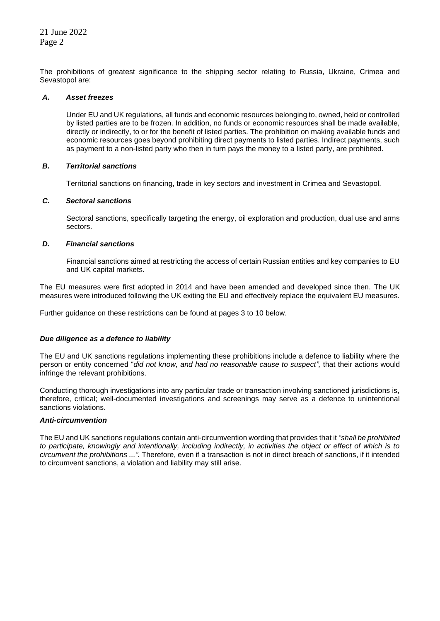The prohibitions of greatest significance to the shipping sector relating to Russia, Ukraine, Crimea and Sevastopol are:

### *A. Asset freezes*

Under EU and UK regulations, all funds and economic resources belonging to, owned, held or controlled by listed parties are to be frozen. In addition, no funds or economic resources shall be made available, directly or indirectly, to or for the benefit of listed parties. The prohibition on making available funds and economic resources goes beyond prohibiting direct payments to listed parties. Indirect payments, such as payment to a non-listed party who then in turn pays the money to a listed party, are prohibited.

# *B. Territorial sanctions*

Territorial sanctions on financing, trade in key sectors and investment in Crimea and Sevastopol.

# *C. Sectoral sanctions*

Sectoral sanctions, specifically targeting the energy, oil exploration and production, dual use and arms sectors.

# *D. Financial sanctions*

Financial sanctions aimed at restricting the access of certain Russian entities and key companies to EU and UK capital markets.

The EU measures were first adopted in 2014 and have been amended and developed since then. The UK measures were introduced following the UK exiting the EU and effectively replace the equivalent EU measures.

Further guidance on these restrictions can be found at pages 3 to 10 below.

# *Due diligence as a defence to liability*

The EU and UK sanctions regulations implementing these prohibitions include a defence to liability where the person or entity concerned "*did not know, and had no reasonable cause to suspect",* that their actions would infringe the relevant prohibitions.

Conducting thorough investigations into any particular trade or transaction involving sanctioned jurisdictions is, therefore, critical; well-documented investigations and screenings may serve as a defence to unintentional sanctions violations.

### *Anti-circumvention*

The EU and UK sanctions regulations contain anti-circumvention wording that provides that it *"shall be prohibited to participate, knowingly and intentionally, including indirectly, in activities the object or effect of which is to circumvent the prohibitions ...".* Therefore, even if a transaction is not in direct breach of sanctions, if it intended to circumvent sanctions, a violation and liability may still arise.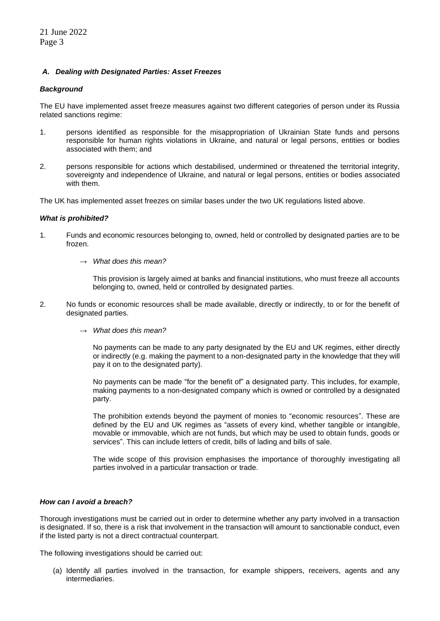# *A. Dealing with Designated Parties: Asset Freezes*

# *Background*

The EU have implemented asset freeze measures against two different categories of person under its Russia related sanctions regime:

- 1. persons identified as responsible for the misappropriation of Ukrainian State funds and persons responsible for human rights violations in Ukraine, and natural or legal persons, entities or bodies associated with them; and
- 2. persons responsible for actions which destabilised, undermined or threatened the territorial integrity, sovereignty and independence of Ukraine, and natural or legal persons, entities or bodies associated with them.

The UK has implemented asset freezes on similar bases under the two UK regulations listed above.

### *What is prohibited?*

- 1. Funds and economic resources belonging to, owned, held or controlled by designated parties are to be frozen.
	- → *What does this mean?*

This provision is largely aimed at banks and financial institutions, who must freeze all accounts belonging to, owned, held or controlled by designated parties.

- 2. No funds or economic resources shall be made available, directly or indirectly, to or for the benefit of designated parties.
	- → *What does this mean?*

No payments can be made to any party designated by the EU and UK regimes, either directly or indirectly (e.g. making the payment to a non-designated party in the knowledge that they will pay it on to the designated party).

No payments can be made "for the benefit of" a designated party. This includes, for example, making payments to a non-designated company which is owned or controlled by a designated party.

The prohibition extends beyond the payment of monies to "economic resources". These are defined by the EU and UK regimes as "assets of every kind, whether tangible or intangible, movable or immovable, which are not funds, but which may be used to obtain funds, goods or services". This can include letters of credit, bills of lading and bills of sale.

The wide scope of this provision emphasises the importance of thoroughly investigating all parties involved in a particular transaction or trade.

### *How can I avoid a breach?*

Thorough investigations must be carried out in order to determine whether any party involved in a transaction is designated. If so, there is a risk that involvement in the transaction will amount to sanctionable conduct, even if the listed party is not a direct contractual counterpart.

The following investigations should be carried out:

(a) Identify all parties involved in the transaction, for example shippers, receivers, agents and any intermediaries.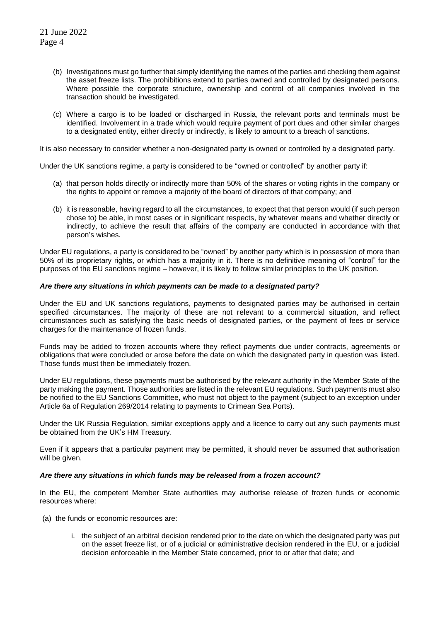- (b) Investigations must go further that simply identifying the names of the parties and checking them against the asset freeze lists. The prohibitions extend to parties owned and controlled by designated persons. Where possible the corporate structure, ownership and control of all companies involved in the transaction should be investigated.
- (c) Where a cargo is to be loaded or discharged in Russia, the relevant ports and terminals must be identified. Involvement in a trade which would require payment of port dues and other similar charges to a designated entity, either directly or indirectly, is likely to amount to a breach of sanctions.

It is also necessary to consider whether a non-designated party is owned or controlled by a designated party.

Under the UK sanctions regime, a party is considered to be "owned or controlled" by another party if:

- (a) that person holds directly or indirectly more than 50% of the shares or voting rights in the company or the rights to appoint or remove a majority of the board of directors of that company; and
- (b) it is reasonable, having regard to all the circumstances, to expect that that person would (if such person chose to) be able, in most cases or in significant respects, by whatever means and whether directly or indirectly, to achieve the result that affairs of the company are conducted in accordance with that person's wishes.

Under EU regulations, a party is considered to be "owned" by another party which is in possession of more than 50% of its proprietary rights, or which has a majority in it. There is no definitive meaning of "control" for the purposes of the EU sanctions regime – however, it is likely to follow similar principles to the UK position.

# *Are there any situations in which payments can be made to a designated party?*

Under the EU and UK sanctions regulations, payments to designated parties may be authorised in certain specified circumstances. The majority of these are not relevant to a commercial situation, and reflect circumstances such as satisfying the basic needs of designated parties, or the payment of fees or service charges for the maintenance of frozen funds.

Funds may be added to frozen accounts where they reflect payments due under contracts, agreements or obligations that were concluded or arose before the date on which the designated party in question was listed. Those funds must then be immediately frozen.

Under EU regulations, these payments must be authorised by the relevant authority in the Member State of the party making the payment. Those authorities are listed in the relevant EU regulations. Such payments must also be notified to the EU Sanctions Committee, who must not object to the payment (subject to an exception under Article 6a of Regulation 269/2014 relating to payments to Crimean Sea Ports).

Under the UK Russia Regulation, similar exceptions apply and a licence to carry out any such payments must be obtained from the UK's HM Treasury.

Even if it appears that a particular payment may be permitted, it should never be assumed that authorisation will be given.

### *Are there any situations in which funds may be released from a frozen account?*

In the EU, the competent Member State authorities may authorise release of frozen funds or economic resources where:

- (a) the funds or economic resources are:
	- i. the subject of an arbitral decision rendered prior to the date on which the designated party was put on the asset freeze list, or of a judicial or administrative decision rendered in the EU, or a judicial decision enforceable in the Member State concerned, prior to or after that date; and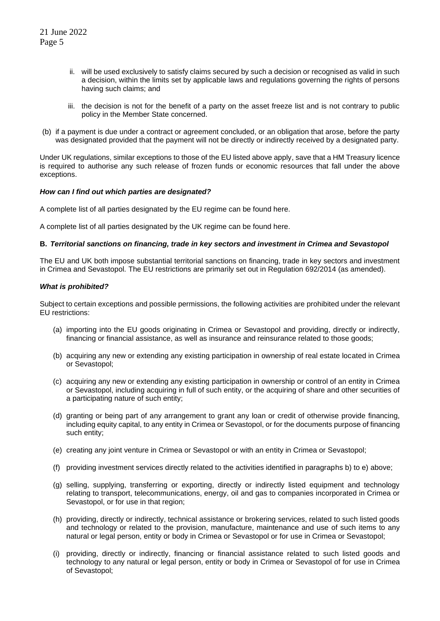- ii. will be used exclusively to satisfy claims secured by such a decision or recognised as valid in such a decision, within the limits set by applicable laws and regulations governing the rights of persons having such claims; and
- iii. the decision is not for the benefit of a party on the asset freeze list and is not contrary to public policy in the Member State concerned.
- (b) if a payment is due under a contract or agreement concluded, or an obligation that arose, before the party was designated provided that the payment will not be directly or indirectly received by a designated party.

Under UK regulations, similar exceptions to those of the EU listed above apply, save that a HM Treasury licence is required to authorise any such release of frozen funds or economic resources that fall under the above exceptions.

### *How can I find out which parties are designated?*

A complete list of all parties designated by the EU regime can be found here.

A complete list of all parties designated by the UK regime can be found here.

# **B.** *Territorial sanctions on financing, trade in key sectors and investment in Crimea and Sevastopol*

The EU and UK both impose substantial territorial sanctions on financing, trade in key sectors and investment in Crimea and Sevastopol. The EU restrictions are primarily set out in Regulation 692/2014 (as amended).

# *What is prohibited?*

Subject to certain exceptions and possible permissions, the following activities are prohibited under the relevant EU restrictions:

- (a) importing into the EU goods originating in Crimea or Sevastopol and providing, directly or indirectly, financing or financial assistance, as well as insurance and reinsurance related to those goods;
- (b) acquiring any new or extending any existing participation in ownership of real estate located in Crimea or Sevastopol;
- (c) acquiring any new or extending any existing participation in ownership or control of an entity in Crimea or Sevastopol, including acquiring in full of such entity, or the acquiring of share and other securities of a participating nature of such entity;
- (d) granting or being part of any arrangement to grant any loan or credit of otherwise provide financing, including equity capital, to any entity in Crimea or Sevastopol, or for the documents purpose of financing such entity;
- (e) creating any joint venture in Crimea or Sevastopol or with an entity in Crimea or Sevastopol;
- (f) providing investment services directly related to the activities identified in paragraphs b) to e) above;
- (g) selling, supplying, transferring or exporting, directly or indirectly listed equipment and technology relating to transport, telecommunications, energy, oil and gas to companies incorporated in Crimea or Sevastopol, or for use in that region;
- (h) providing, directly or indirectly, technical assistance or brokering services, related to such listed goods and technology or related to the provision, manufacture, maintenance and use of such items to any natural or legal person, entity or body in Crimea or Sevastopol or for use in Crimea or Sevastopol;
- (i) providing, directly or indirectly, financing or financial assistance related to such listed goods and technology to any natural or legal person, entity or body in Crimea or Sevastopol of for use in Crimea of Sevastopol;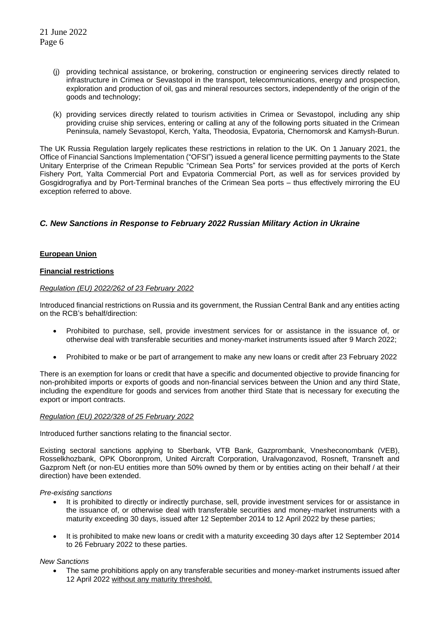- (j) providing technical assistance, or brokering, construction or engineering services directly related to infrastructure in Crimea or Sevastopol in the transport, telecommunications, energy and prospection, exploration and production of oil, gas and mineral resources sectors, independently of the origin of the goods and technology;
- (k) providing services directly related to tourism activities in Crimea or Sevastopol, including any ship providing cruise ship services, entering or calling at any of the following ports situated in the Crimean Peninsula, namely Sevastopol, Kerch, Yalta, Theodosia, Evpatoria, Chernomorsk and Kamysh-Burun.

The UK Russia Regulation largely replicates these restrictions in relation to the UK. On 1 January 2021, the Office of Financial Sanctions Implementation ("OFSI") issued a general licence permitting payments to the State Unitary Enterprise of the Crimean Republic "Crimean Sea Ports" for services provided at the ports of Kerch Fishery Port, Yalta Commercial Port and Evpatoria Commercial Port, as well as for services provided by Gosgidrografiya and by Port-Terminal branches of the Crimean Sea ports – thus effectively mirroring the EU exception referred to above.

# *C. New Sanctions in Response to February 2022 Russian Military Action in Ukraine*

# **European Union**

### **Financial restrictions**

# *Regulation (EU) 2022/262 of 23 February 2022*

Introduced financial restrictions on Russia and its government, the Russian Central Bank and any entities acting on the RCB's behalf/direction:

- Prohibited to purchase, sell, provide investment services for or assistance in the issuance of, or otherwise deal with transferable securities and money-market instruments issued after 9 March 2022;
- Prohibited to make or be part of arrangement to make any new loans or credit after 23 February 2022

There is an exemption for loans or credit that have a specific and documented objective to provide financing for non-prohibited imports or exports of goods and non-financial services between the Union and any third State, including the expenditure for goods and services from another third State that is necessary for executing the export or import contracts.

### *Regulation (EU) 2022/328 of 25 February 2022*

Introduced further sanctions relating to the financial sector.

Existing sectoral sanctions applying to Sberbank, VTB Bank, Gazprombank, Vnesheconombank (VEB), Rosselkhozbank, OPK Oboronprom, United Aircraft Corporation, Uralvagonzavod, Rosneft, Transneft and Gazprom Neft (or non-EU entities more than 50% owned by them or by entities acting on their behalf / at their direction) have been extended.

*Pre-existing sanctions*

- It is prohibited to directly or indirectly purchase, sell, provide investment services for or assistance in the issuance of, or otherwise deal with transferable securities and money-market instruments with a maturity exceeding 30 days, issued after 12 September 2014 to 12 April 2022 by these parties;
- It is prohibited to make new loans or credit with a maturity exceeding 30 days after 12 September 2014 to 26 February 2022 to these parties.

### *New Sanctions*

• The same prohibitions apply on any transferable securities and money-market instruments issued after 12 April 2022 without any maturity threshold.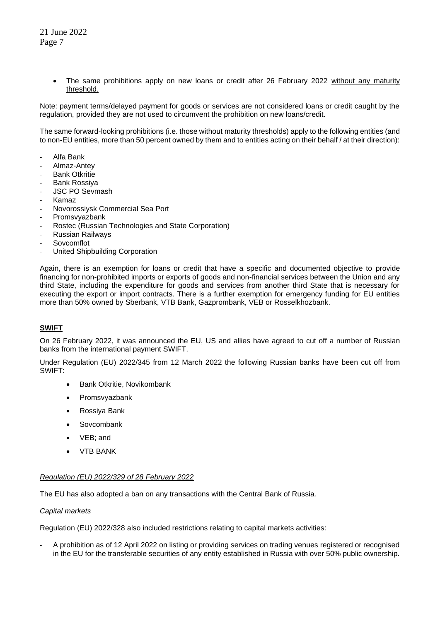• The same prohibitions apply on new loans or credit after 26 February 2022 without any maturity threshold.

Note: payment terms/delayed payment for goods or services are not considered loans or credit caught by the regulation, provided they are not used to circumvent the prohibition on new loans/credit.

The same forward-looking prohibitions (i.e. those without maturity thresholds) apply to the following entities (and to non-EU entities, more than 50 percent owned by them and to entities acting on their behalf / at their direction):

- Alfa Bank
- Almaz-Antey
- Bank Otkritie
- Bank Rossiya
- JSC PO Sevmash
- Kamaz
- Novorossiysk Commercial Sea Port
- Promsvvazbank
- Rostec (Russian Technologies and State Corporation)
- Russian Railways
- **Sovcomflot**
- United Shipbuilding Corporation

Again, there is an exemption for loans or credit that have a specific and documented objective to provide financing for non-prohibited imports or exports of goods and non-financial services between the Union and any third State, including the expenditure for goods and services from another third State that is necessary for executing the export or import contracts. There is a further exemption for emergency funding for EU entities more than 50% owned by Sberbank, VTB Bank, Gazprombank, VEB or Rosselkhozbank.

# **SWIFT**

On 26 February 2022, it was announced the EU, US and allies have agreed to cut off a number of Russian banks from the international payment SWIFT.

Under Regulation (EU) 2022/345 from 12 March 2022 the following Russian banks have been cut off from SWIFT:

- Bank Otkritie, Novikombank
- **Promsvyazbank**
- Rossiya Bank
- Sovcombank
- VEB; and
- VTB BANK

### *Regulation (EU) 2022/329 of 28 February 2022*

The EU has also adopted a ban on any transactions with the Central Bank of Russia.

### *Capital markets*

Regulation (EU) 2022/328 also included restrictions relating to capital markets activities:

- A prohibition as of 12 April 2022 on listing or providing services on trading venues registered or recognised in the EU for the transferable securities of any entity established in Russia with over 50% public ownership.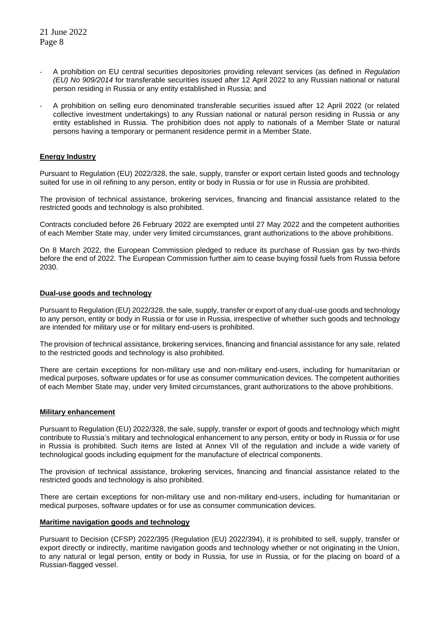- A prohibition on EU central securities depositories providing relevant services (as defined in *Regulation (EU) No 909/2014* for transferable securities issued after 12 April 2022 to any Russian national or natural person residing in Russia or any entity established in Russia; and
- A prohibition on selling euro denominated transferable securities issued after 12 April 2022 (or related collective investment undertakings) to any Russian national or natural person residing in Russia or any entity established in Russia. The prohibition does not apply to nationals of a Member State or natural persons having a temporary or permanent residence permit in a Member State.

# **Energy Industry**

Pursuant to Regulation (EU) 2022/328, the sale, supply, transfer or export certain listed goods and technology suited for use in oil refining to any person, entity or body in Russia or for use in Russia are prohibited.

The provision of technical assistance, brokering services, financing and financial assistance related to the restricted goods and technology is also prohibited.

Contracts concluded before 26 February 2022 are exempted until 27 May 2022 and the competent authorities of each Member State may, under very limited circumstances, grant authorizations to the above prohibitions.

On 8 March 2022, the European Commission pledged to reduce its purchase of Russian gas by two-thirds before the end of 2022. The European Commission further aim to cease buying fossil fuels from Russia before 2030.

### **Dual-use goods and technology**

Pursuant to Regulation (EU) 2022/328, the sale, supply, transfer or export of any dual-use goods and technology to any person, entity or body in Russia or for use in Russia, irrespective of whether such goods and technology are intended for military use or for military end-users is prohibited.

The provision of technical assistance, brokering services, financing and financial assistance for any sale, related to the restricted goods and technology is also prohibited.

There are certain exceptions for non-military use and non-military end-users, including for humanitarian or medical purposes, software updates or for use as consumer communication devices. The competent authorities of each Member State may, under very limited circumstances, grant authorizations to the above prohibitions.

### **Military enhancement**

Pursuant to Regulation (EU) 2022/328, the sale, supply, transfer or export of goods and technology which might contribute to Russia's military and technological enhancement to any person, entity or body in Russia or for use in Russia is prohibited. Such items are listed at Annex VII of the regulation and include a wide variety of technological goods including equipment for the manufacture of electrical components.

The provision of technical assistance, brokering services, financing and financial assistance related to the restricted goods and technology is also prohibited.

There are certain exceptions for non-military use and non-military end-users, including for humanitarian or medical purposes, software updates or for use as consumer communication devices.

# **Maritime navigation goods and technology**

Pursuant to Decision (CFSP) 2022/395 (Regulation (EU) 2022/394), it is prohibited to sell, supply, transfer or export directly or indirectly, maritime navigation goods and technology whether or not originating in the Union, to any natural or legal person, entity or body in Russia, for use in Russia, or for the placing on board of a Russian-flagged vessel.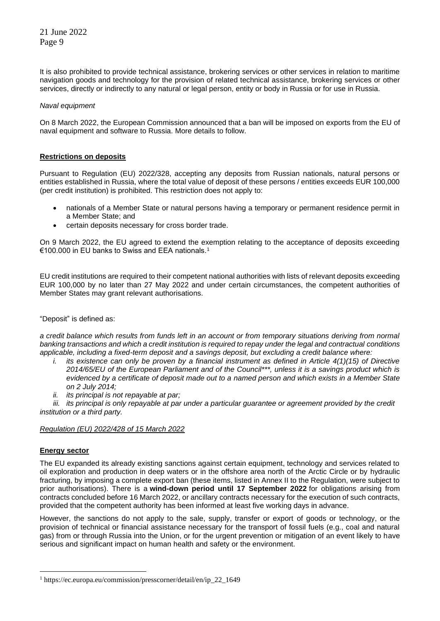It is also prohibited to provide technical assistance, brokering services or other services in relation to maritime navigation goods and technology for the provision of related technical assistance, brokering services or other services, directly or indirectly to any natural or legal person, entity or body in Russia or for use in Russia.

### *Naval equipment*

On 8 March 2022, the European Commission announced that a ban will be imposed on exports from the EU of naval equipment and software to Russia. More details to follow.

# **Restrictions on deposits**

Pursuant to Regulation (EU) 2022/328, accepting any deposits from Russian nationals, natural persons or entities established in Russia, where the total value of deposit of these persons / entities exceeds EUR 100,000 (per credit institution) is prohibited. This restriction does not apply to:

- nationals of a Member State or natural persons having a temporary or permanent residence permit in a Member State; and
- certain deposits necessary for cross border trade.

On 9 March 2022, the EU agreed to extend the exemption relating to the acceptance of deposits exceeding €100.000 in EU banks to Swiss and EEA nationals.<sup>1</sup>

EU credit institutions are required to their competent national authorities with lists of relevant deposits exceeding EUR 100,000 by no later than 27 May 2022 and under certain circumstances, the competent authorities of Member States may grant relevant authorisations.

"Deposit" is defined as:

*a credit balance which results from funds left in an account or from temporary situations deriving from normal banking transactions and which a credit institution is required to repay under the legal and contractual conditions applicable, including a fixed-term deposit and a savings deposit, but excluding a credit balance where:*

- *i. its existence can only be proven by a financial instrument as defined in Article 4(1)(15) of Directive 2014/65/EU of the European Parliament and of the Council\*\*\*, unless it is a savings product which is evidenced by a certificate of deposit made out to a named person and which exists in a Member State on 2 July 2014;*
- *ii. its principal is not repayable at par;*

*iii. its principal is only repayable at par under a particular guarantee or agreement provided by the credit institution or a third party.*

### *Regulation (EU) 2022/428 of 15 March 2022*

### **Energy sector**

The EU expanded its already existing sanctions against certain equipment, technology and services related to oil exploration and production in deep waters or in the offshore area north of the Arctic Circle or by hydraulic fracturing, by imposing a complete export ban (these items, listed in Annex II to the Regulation, were subject to prior authorisations). There is a **wind-down period until 17 September 2022** for obligations arising from contracts concluded before 16 March 2022, or ancillary contracts necessary for the execution of such contracts, provided that the competent authority has been informed at least five working days in advance.

However, the sanctions do not apply to the sale, supply, transfer or export of goods or technology, or the provision of technical or financial assistance necessary for the transport of fossil fuels (e.g., coal and natural gas) from or through Russia into the Union, or for the urgent prevention or mitigation of an event likely to have serious and significant impact on human health and safety or the environment.

<sup>1</sup> https://ec.europa.eu/commission/presscorner/detail/en/ip\_22\_1649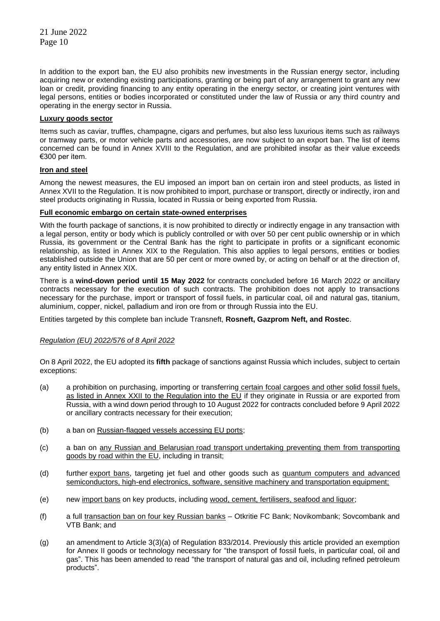In addition to the export ban, the EU also prohibits new investments in the Russian energy sector, including acquiring new or extending existing participations, granting or being part of any arrangement to grant any new loan or credit, providing financing to any entity operating in the energy sector, or creating joint ventures with legal persons, entities or bodies incorporated or constituted under the law of Russia or any third country and operating in the energy sector in Russia.

# **Luxury goods sector**

Items such as caviar, truffles, champagne, cigars and perfumes, but also less luxurious items such as railways or tramway parts, or motor vehicle parts and accessories, are now subject to an export ban. The list of items concerned can be found in Annex XVIII to the Regulation, and are prohibited insofar as their value exceeds €300 per item.

# **Iron and steel**

Among the newest measures, the EU imposed an import ban on certain iron and steel products, as listed in Annex XVII to the Regulation. It is now prohibited to import, purchase or transport, directly or indirectly, iron and steel products originating in Russia, located in Russia or being exported from Russia.

# **Full economic embargo on certain state-owned enterprises**

With the fourth package of sanctions, it is now prohibited to directly or indirectly engage in any transaction with a legal person, entity or body which is publicly controlled or with over 50 per cent public ownership or in which Russia, its government or the Central Bank has the right to participate in profits or a significant economic relationship, as listed in Annex XIX to the Regulation. This also applies to legal persons, entities or bodies established outside the Union that are 50 per cent or more owned by, or acting on behalf or at the direction of, any entity listed in Annex XIX.

There is a **wind-down period until 15 May 2022** for contracts concluded before 16 March 2022 or ancillary contracts necessary for the execution of such contracts. The prohibition does not apply to transactions necessary for the purchase, import or transport of fossil fuels, in particular coal, oil and natural gas, titanium, aluminium, copper, nickel, palladium and iron ore from or through Russia into the EU.

Entities targeted by this complete ban include Transneft, **Rosneft, Gazprom Neft, and Rostec**.

# *Regulation (EU) 2022/576 of 8 April 2022*

On 8 April 2022, the EU adopted its **fifth** package of sanctions against Russia which includes, subject to certain exceptions:

- (a) a prohibition on purchasing, importing or transferring certain fcoal cargoes and other solid fossil fuels, as listed in Annex XXII to the Regulation into the EU if they originate in Russia or are exported from Russia, with a wind down period through to 10 August 2022 for contracts concluded before 9 April 2022 or ancillary contracts necessary for their execution;
- (b) a ban on Russian-flagged vessels accessing EU ports;
- (c) a ban on any Russian and Belarusian road transport undertaking preventing them from transporting goods by road within the EU, including in transit;
- (d) further export bans, targeting jet fuel and other goods such as quantum computers and advanced semiconductors, high-end electronics, software, sensitive machinery and transportation equipment;
- (e) new import bans on key products, including wood, cement, fertilisers, seafood and liquor;
- (f) a full transaction ban on four key Russian banks Otkritie FC Bank; Novikombank; Sovcombank and VTB Bank; and
- (g) an amendment to Article 3(3)(a) of Regulation 833/2014. Previously this article provided an exemption for Annex II goods or technology necessary for "the transport of fossil fuels, in particular coal, oil and gas". This has been amended to read "the transport of natural gas and oil, including refined petroleum products".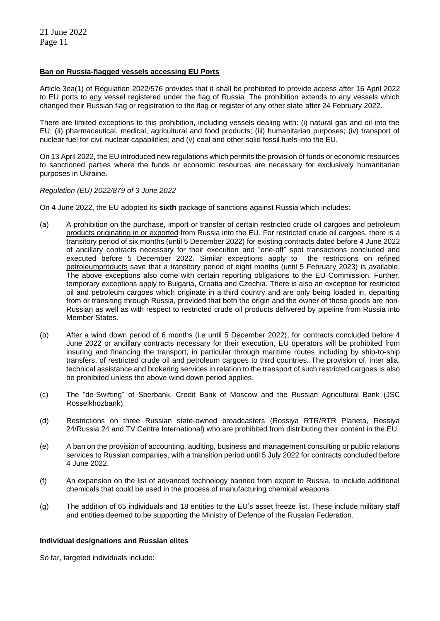# **Ban on Russia-flagged vessels accessing EU Ports**

Article 3ea(1) of Regulation 2022/576 provides that it shall be prohibited to provide access after 16 April 2022 to EU ports to any vessel registered under the flag of Russia. The prohibition extends to any vessels which changed their Russian flag or registration to the flag or register of any other state after 24 February 2022.

There are limited exceptions to this prohibition, including vessels dealing with: (i) natural gas and oil into the EU: (ii) pharmaceutical, medical, agricultural and food products; (iii) humanitarian purposes; (iv) transport of nuclear fuel for civil nuclear capabilities; and (v) coal and other solid fossil fuels into the EU.

On 13 April 2022, the EU introduced new regulations which permits the provision of funds or economic resources to sanctioned parties where the funds or economic resources are necessary for exclusively humanitarian purposes in Ukraine.

# *Regulation (EU) 2022/879 of 3 June 2022*

On 4 June 2022, the EU adopted its **sixth** package of sanctions against Russia which includes:

- (a) A prohibition on the purchase, import or transfer of certain restricted crude oil cargoes and petroleum products originating in or exported from Russia into the EU. For restricted crude oil cargoes, there is a transitory period of six months (until 5 December 2022) for existing contracts dated before 4 June 2022 of ancillary contracts necessary for their execution and "one-off" spot transactions concluded and executed before 5 December 2022. Similar exceptions apply to the restrictions on refined petroleumproducts save that a transitory period of eight months (until 5 February 2023) is available. The above exceptions also come with certain reporting obligations to the EU Commission. Further, temporary exceptions apply to Bulgaria, Croatia and Czechia. There is also an exception for restricted oil and petroleum cargoes which originate in a third country and are only being loaded in, departing from or transiting through Russia, provided that both the origin and the owner of those goods are non-Russian as well as with respect to restricted crude oil products delivered by pipeline from Russia into Member States.
- (b) After a wind down period of 6 months (i.e until 5 December 2022), for contracts concluded before 4 June 2022 or ancillary contracts necessary for their execution, EU operators will be prohibited from insuring and financing the transport, in particular through maritime routes including by ship-to-ship transfers, of restricted crude oil and petroleum cargoes to third countries. The provision of, inter alia, technical assistance and brokering services in relation to the transport of such restricted cargoes is also be prohibited unless the above wind down period applies.
- (c) The "de-Swifting" of Sberbank, Credit Bank of Moscow and the Russian Agricultural Bank (JSC Rosselkhozbank).
- (d) Restrictions on three Russian state-owned broadcasters (Rossiya RTR/RTR Planeta, Rossiya 24/Russia 24 and TV Centre International) who are prohibited from distributing their content in the EU.
- (e) A ban on the provision of accounting, auditing, business and management consulting or public relations services to Russian companies, with a transition period until 5 July 2022 for contracts concluded before 4 June 2022.
- (f) An expansion on the list of advanced technology banned from export to Russia, to include additional chemicals that could be used in the process of manufacturing chemical weapons.
- (g) The addition of 65 individuals and 18 entities to the EU's asset freeze list. These include military staff and entities deemed to be supporting the Ministry of Defence of the Russian Federation.

# **Individual designations and Russian elites**

So far, targeted individuals include: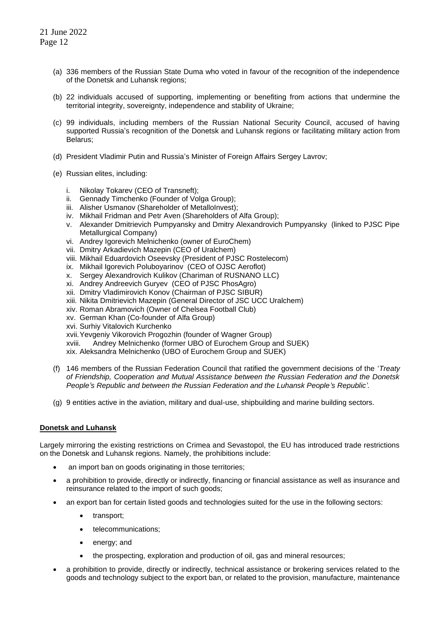- (a) 336 members of the Russian State Duma who voted in favour of the recognition of the independence of the Donetsk and Luhansk regions;
- (b) 22 individuals accused of supporting, implementing or benefiting from actions that undermine the territorial integrity, sovereignty, independence and stability of Ukraine;
- (c) 99 individuals, including members of the Russian National Security Council, accused of having supported Russia's recognition of the Donetsk and Luhansk regions or facilitating military action from Belarus;
- (d) President Vladimir Putin and Russia's Minister of Foreign Affairs Sergey Lavrov;
- (e) Russian elites, including:
	- i. Nikolay Tokarev (CEO of Transneft);
	- ii. Gennady Timchenko (Founder of Volga Group);
	- iii. Alisher Usmanov (Shareholder of MetalloInvest);
	- iv. Mikhail Fridman and Petr Aven (Shareholders of Alfa Group);
	- v. Alexander Dmitrievich Pumpyansky and Dmitry Alexandrovich Pumpyansky (linked to PJSC Pipe Metallurgical Company)
	- vi. Andrey Igorevich Melnichenko (owner of EuroChem)
	- vii. Dmitry Arkadievich Mazepin (CEO of Uralchem)
	- viii. Mikhail Eduardovich Oseevsky (President of PJSC Rostelecom)
	- ix. Mikhail Igorevich Poluboyarinov (CEO of OJSC Aeroflot)
	- x. Sergey Alexandrovich Kulikov (Chariman of RUSNANO LLC)
	- xi. Andrey Andreevich Guryev (CEO of PJSC PhosAgro)
	- xii. Dmitry Vladimirovich Konov (Chairman of PJSC SIBUR)
	- xiii. Nikita Dmitrievich Mazepin (General Director of JSC UCC Uralchem)
	- xiv. Roman Abramovich (Owner of Chelsea Football Club)
	- xv. German Khan (Co-founder of Alfa Group)
	- xvi. Surhiy Vitalovich Kurchenko
	- xvii.Yevgeniy Vikorovich Progozhin (founder of Wagner Group)
	- xviii. Andrey Melnichenko (former UBO of Eurochem Group and SUEK)

xix. Aleksandra Melnichenko (UBO of Eurochem Group and SUEK)

- (f) 146 members of the Russian Federation Council that ratified the government decisions of the '*Treaty of Friendship, Cooperation and Mutual Assistance between the Russian Federation and the Donetsk People's Republic and between the Russian Federation and the Luhansk People's Republic'.*
- (g) 9 entities active in the aviation, military and dual-use, shipbuilding and marine building sectors.

# **Donetsk and Luhansk**

Largely mirroring the existing restrictions on Crimea and Sevastopol, the EU has introduced trade restrictions on the Donetsk and Luhansk regions. Namely, the prohibitions include:

- an import ban on goods originating in those territories;
- a prohibition to provide, directly or indirectly, financing or financial assistance as well as insurance and reinsurance related to the import of such goods;
- an export ban for certain listed goods and technologies suited for the use in the following sectors:
	- transport;
	- telecommunications;
	- energy; and
	- the prospecting, exploration and production of oil, gas and mineral resources;
- a prohibition to provide, directly or indirectly, technical assistance or brokering services related to the goods and technology subject to the export ban, or related to the provision, manufacture, maintenance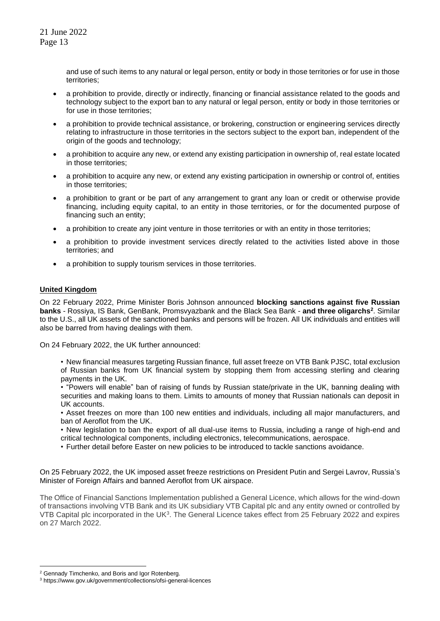and use of such items to any natural or legal person, entity or body in those territories or for use in those territories;

- a prohibition to provide, directly or indirectly, financing or financial assistance related to the goods and technology subject to the export ban to any natural or legal person, entity or body in those territories or for use in those territories;
- a prohibition to provide technical assistance, or brokering, construction or engineering services directly relating to infrastructure in those territories in the sectors subject to the export ban, independent of the origin of the goods and technology;
- a prohibition to acquire any new, or extend any existing participation in ownership of, real estate located in those territories;
- a prohibition to acquire any new, or extend any existing participation in ownership or control of, entities in those territories;
- a prohibition to grant or be part of any arrangement to grant any loan or credit or otherwise provide financing, including equity capital, to an entity in those territories, or for the documented purpose of financing such an entity;
- a prohibition to create any joint venture in those territories or with an entity in those territories;
- a prohibition to provide investment services directly related to the activities listed above in those territories; and
- a prohibition to supply tourism services in those territories.

# **United Kingdom**

On 22 February 2022, Prime Minister Boris Johnson announced **blocking sanctions against five Russian banks** - Rossiya, IS Bank, GenBank, Promsvyazbank and the Black Sea Bank - **and three oligarchs<sup>2</sup>** . Similar to the U.S., all UK assets of the sanctioned banks and persons will be frozen. All UK individuals and entities will also be barred from having dealings with them.

On 24 February 2022, the UK further announced:

• New financial measures targeting Russian finance, full asset freeze on VTB Bank PJSC, total exclusion of Russian banks from UK financial system by stopping them from accessing sterling and clearing payments in the UK.

• "Powers will enable" ban of raising of funds by Russian state/private in the UK, banning dealing with securities and making loans to them. Limits to amounts of money that Russian nationals can deposit in UK accounts.

• Asset freezes on more than 100 new entities and individuals, including all major manufacturers, and ban of Aeroflot from the UK.

• New legislation to ban the export of all dual-use items to Russia, including a range of high-end and critical technological components, including electronics, telecommunications, aerospace.

• Further detail before Easter on new policies to be introduced to tackle sanctions avoidance.

On 25 February 2022, the UK imposed asset freeze restrictions on President Putin and Sergei Lavrov, Russia's Minister of Foreign Affairs and banned Aeroflot from UK airspace.

The Office of Financial Sanctions Implementation published a General Licence, which allows for the wind-down of transactions involving VTB Bank and its UK subsidiary VTB Capital plc and any entity owned or controlled by VTB Capital plc incorporated in the UK<sup>3</sup>. The General Licence takes effect from 25 February 2022 and expires on 27 March 2022.

<sup>&</sup>lt;sup>2</sup> Gennady Timchenko, and Boris and Igor Rotenberg.

<sup>3</sup> https://www.gov.uk/government/collections/ofsi-general-licences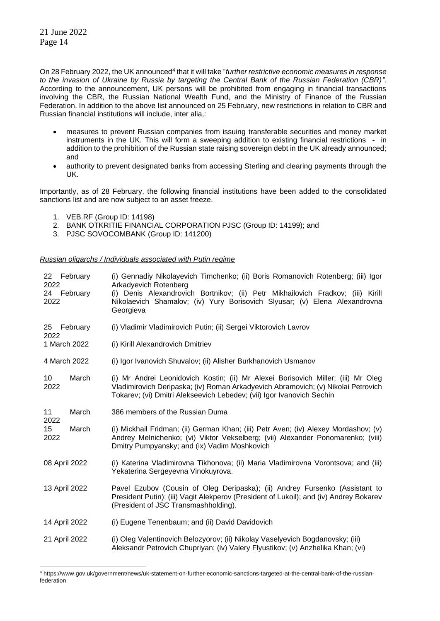On 28 February 2022, the UK announced<sup>4</sup> that it will take "*further restrictive economic measures in response to the invasion of Ukraine by Russia by targeting the Central Bank of the Russian Federation (CBR)".* According to the announcement, UK persons will be prohibited from engaging in financial transactions involving the CBR, the Russian National Wealth Fund, and the Ministry of Finance of the Russian Federation. In addition to the above list announced on 25 February, new restrictions in relation to CBR and Russian financial institutions will include, inter alia,:

- measures to prevent Russian companies from issuing transferable securities and money market instruments in the UK. This will form a sweeping addition to existing financial restrictions - in addition to the prohibition of the Russian state raising sovereign debt in the UK already announced; and
- authority to prevent designated banks from accessing Sterling and clearing payments through the UK.

Importantly, as of 28 February, the following financial institutions have been added to the consolidated sanctions list and are now subject to an asset freeze.

- 1. VEB.RF (Group ID: 14198)
- 2. BANK OTKRITIE FINANCIAL CORPORATION PJSC (Group ID: 14199); and
- 3. PJSC SOVOCOMBANK (Group ID: 141200)

*Russian oligarchs / Individuals associated with Putin regime*

| 22 February<br>2022<br>24 February<br>2022 | (i) Gennadiy Nikolayevich Timchenko; (ii) Boris Romanovich Rotenberg; (iii) Igor<br>Arkadyevich Rotenberg<br>(i) Denis Alexandrovich Bortnikov; (ii) Petr Mikhailovich Fradkov; (iii) Kirill<br>Nikolaevich Shamalov; (iv) Yury Borisovich Slyusar; (v) Elena Alexandrovna<br>Georgieva |  |  |
|--------------------------------------------|-----------------------------------------------------------------------------------------------------------------------------------------------------------------------------------------------------------------------------------------------------------------------------------------|--|--|
| 25<br>February<br>2022                     | (i) Vladimir Vladimirovich Putin; (ii) Sergei Viktorovich Lavrov                                                                                                                                                                                                                        |  |  |
| 1 March 2022                               | (i) Kirill Alexandrovich Dmitriev                                                                                                                                                                                                                                                       |  |  |
| 4 March 2022                               | (i) Igor Ivanovich Shuvalov; (ii) Alisher Burkhanovich Usmanov                                                                                                                                                                                                                          |  |  |
| March<br>10<br>2022                        | (i) Mr Andrei Leonidovich Kostin; (ii) Mr Alexei Borisovich Miller; (iii) Mr Oleg<br>Vladimirovich Deripaska; (iv) Roman Arkadyevich Abramovich; (v) Nikolai Petrovich<br>Tokarev; (vi) Dmitri Alekseevich Lebedev; (vii) Igor Ivanovich Sechin                                         |  |  |
| March<br>11<br>2022                        | 386 members of the Russian Duma                                                                                                                                                                                                                                                         |  |  |
| 15<br>March<br>2022                        | (i) Mickhail Fridman; (ii) German Khan; (iii) Petr Aven; (iv) Alexey Mordashov; (v)<br>Andrey Melnichenko; (vi) Viktor Vekselberg; (vii) Alexander Ponomarenko; (viii)<br>Dmitry Pumpyansky; and (ix) Vadim Moshkovich                                                                  |  |  |
| 08 April 2022                              | (i) Katerina Vladimirovna Tikhonova; (ii) Maria Vladimirovna Vorontsova; and (iii)<br>Yekaterina Sergeyevna Vinokuyrova.                                                                                                                                                                |  |  |
| 13 April 2022                              | Pavel Ezubov (Cousin of Oleg Deripaska); (ii) Andrey Fursenko (Assistant to<br>President Putin); (iii) Vagit Alekperov (President of Lukoil); and (iv) Andrey Bokarev<br>(President of JSC Transmashholding).                                                                           |  |  |
| 14 April 2022                              | (i) Eugene Tenenbaum; and (ii) David Davidovich                                                                                                                                                                                                                                         |  |  |
| 21 April 2022                              | (i) Oleg Valentinovich Belozyorov; (ii) Nikolay Vaselyevich Bogdanovsky; (iii)<br>Aleksandr Petrovich Chupriyan; (iv) Valery Flyustikov; (v) Anzhelika Khan; (vi)                                                                                                                       |  |  |

<sup>4</sup> https://www.gov.uk/government/news/uk-statement-on-further-economic-sanctions-targeted-at-the-central-bank-of-the-russianfederation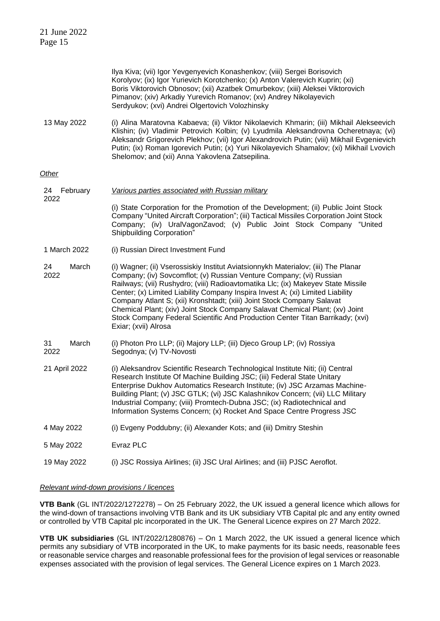Page 15 Ilya Kiva; (vii) Igor Yevgenyevich Konashenkov; (viii) Sergei Borisovich Korolyov; (ix) Igor Yurievich Korotchenko; (x) Anton Valerevich Kuprin; (xi) Boris Viktorovich Obnosov; (xii) Azatbek Omurbekov; (xiii) Aleksei Viktorovich Pimanov; (xiv) Arkadiy Yurevich Romanov; (xv) Andrey Nikolayevich Serdyukov; (xvi) Andrei Olgertovich Volozhinsky 13 May 2022 (i) Alina Maratovna Kabaeva; (ii) Viktor Nikolaevich Khmarin; (iii) Mikhail Alekseevich Klishin; (iv) Vladimir Petrovich Kolbin; (v) Lyudmila Aleksandrovna Ocheretnaya; (vi) Aleksandr Grigorevich Plekhov; (vii) Igor Alexandrovich Putin; (viii) Mikhail Evgenievich Putin; (ix) Roman Igorevich Putin; (x) Yuri Nikolayevich Shamalov; (xi) Mikhail Lvovich Shelomov; and (xii) Anna Yakovlena Zatsepilina. *Other* 24 February 2022 *Various parties associated with Russian military*  (i) State Corporation for the Promotion of the Development; (ii) Public Joint Stock Company "United Aircraft Corporation"; (iii) Tactical Missiles Corporation Joint Stock Company; (iv) UralVagonZavod; (v) Public Joint Stock Company "United Shipbuilding Corporation" 1 March 2022 (i) Russian Direct Investment Fund 24 March 2022 (i) Wagner; (ii) Vserossiskiy Institut Aviatsionnykh Materialov; (iii) The Planar Company; (iv) Sovcomflot; (v) Russian Venture Company; (vi) Russian Railways; (vii) Rushydro; (viii) Radioavtomatika Llc; (ix) Makeyev State Missile Center; (x) Limited Liability Company Inspira Invest A; (xi) Limited Liability Company Atlant S; (xii) Kronshtadt; (xiii) Joint Stock Company Salavat Chemical Plant; (xiv) Joint Stock Company Salavat Chemical Plant; (xv) Joint Stock Company Federal Scientific And Production Center Titan Barrikady; (xvi) Exiar; (xvii) Alrosa 31 March 2022 (i) Photon Pro LLP; (ii) Majory LLP; (iii) Djeco Group LP; (iv) Rossiya Segodnya; (v) TV-Novosti 21 April 2022 (i) Aleksandrov Scientific Research Technological Institute Niti; (ii) Central Research Institute Of Machine Building JSC; (iii) Federal State Unitary Enterprise Dukhov Automatics Research Institute; (iv) JSC Arzamas Machine-Building Plant; (v) JSC GTLK; (vi) JSC Kalashnikov Concern; (vii) LLC Military Industrial Company; (viii) Promtech-Dubna JSC; (ix) Radiotechnical and Information Systems Concern; (x) Rocket And Space Centre Progress JSC 4 May 2022 (i) Evgeny Poddubny; (ii) Alexander Kots; and (iii) Dmitry Steshin 5 May 2022 Evraz PLC 19 May 2022 (i) JSC Rossiya Airlines; (ii) JSC Ural Airlines; and (iii) PJSC Aeroflot.

### *Relevant wind-down provisions / licences*

21 June 2022

**VTB Bank** (GL INT/2022/1272278) – On 25 February 2022, the UK issued a general licence which allows for the wind-down of transactions involving VTB Bank and its UK subsidiary VTB Capital plc and any entity owned or controlled by VTB Capital plc incorporated in the UK. The General Licence expires on 27 March 2022.

**VTB UK subsidiaries** (GL INT/2022/1280876) – On 1 March 2022, the UK issued a general licence which permits any subsidiary of VTB incorporated in the UK, to make payments for its basic needs, reasonable fees or reasonable service charges and reasonable professional fees for the provision of legal services or reasonable expenses associated with the provision of legal services. The General Licence expires on 1 March 2023.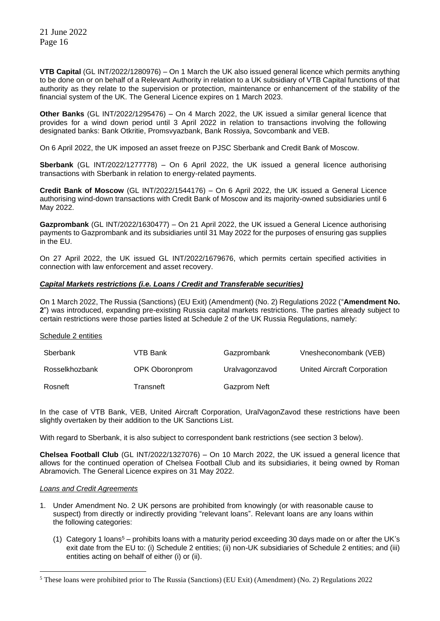**VTB Capital** (GL INT/2022/1280976) – On 1 March the UK also issued general licence which permits anything to be done on or on behalf of a Relevant Authority in relation to a UK subsidiary of VTB Capital functions of that authority as they relate to the supervision or protection, maintenance or enhancement of the stability of the financial system of the UK. The General Licence expires on 1 March 2023.

**Other Banks** (GL INT/2022/1295476) – On 4 March 2022, the UK issued a similar general licence that provides for a wind down period until 3 April 2022 in relation to transactions involving the following designated banks: Bank Otkritie, Promsvyazbank, Bank Rossiya, Sovcombank and VEB.

On 6 April 2022, the UK imposed an asset freeze on PJSC Sberbank and Credit Bank of Moscow.

**Sberbank** (GL INT/2022/1277778) – On 6 April 2022, the UK issued a general licence authorising transactions with Sberbank in relation to energy-related payments.

**Credit Bank of Moscow** (GL INT/2022/1544176) – On 6 April 2022, the UK issued a General Licence authorising wind-down transactions with Credit Bank of Moscow and its majority-owned subsidiaries until 6 May 2022.

**Gazprombank** (GL INT/2022/1630477) – On 21 April 2022, the UK issued a General Licence authorising payments to Gazprombank and its subsidiaries until 31 May 2022 for the purposes of ensuring gas supplies in the EU.

On 27 April 2022, the UK issued GL INT/2022/1679676, which permits certain specified activities in connection with law enforcement and asset recovery.

# *Capital Markets restrictions (i.e. Loans / Credit and Transferable securities)*

On 1 March 2022, The Russia (Sanctions) (EU Exit) (Amendment) (No. 2) Regulations 2022 ("**Amendment No. 2**") was introduced, expanding pre-existing Russia capital markets restrictions. The parties already subject to certain restrictions were those parties listed at Schedule 2 of the UK Russia Regulations, namely:

### Schedule 2 entities

| Sberbank       | VTB Bank       | Gazprombank    | Vnesheconombank (VEB)       |
|----------------|----------------|----------------|-----------------------------|
| Rosselkhozbank | OPK Oboronprom | Uralvagonzavod | United Aircraft Corporation |
| Rosneft        | Transneft      | Gazprom Neft   |                             |

In the case of VTB Bank, VEB, United Aircraft Corporation, UralVagonZavod these restrictions have been slightly overtaken by their addition to the UK Sanctions List.

With regard to Sberbank, it is also subject to correspondent bank restrictions (see section 3 below).

**Chelsea Football Club** (GL INT/2022/1327076) – On 10 March 2022, the UK issued a general licence that allows for the continued operation of Chelsea Football Club and its subsidiaries, it being owned by Roman Abramovich. The General Licence expires on 31 May 2022.

### *Loans and Credit Agreements*

- 1. Under Amendment No. 2 UK persons are prohibited from knowingly (or with reasonable cause to suspect) from directly or indirectly providing "relevant loans". Relevant loans are any loans within the following categories:
	- (1) Category 1 loans<sup>5</sup> prohibits loans with a maturity period exceeding 30 days made on or after the UK's exit date from the EU to: (i) Schedule 2 entities; (ii) non-UK subsidiaries of Schedule 2 entities; and (iii) entities acting on behalf of either (i) or (ii).

<sup>5</sup> These loans were prohibited prior to The Russia (Sanctions) (EU Exit) (Amendment) (No. 2) Regulations 2022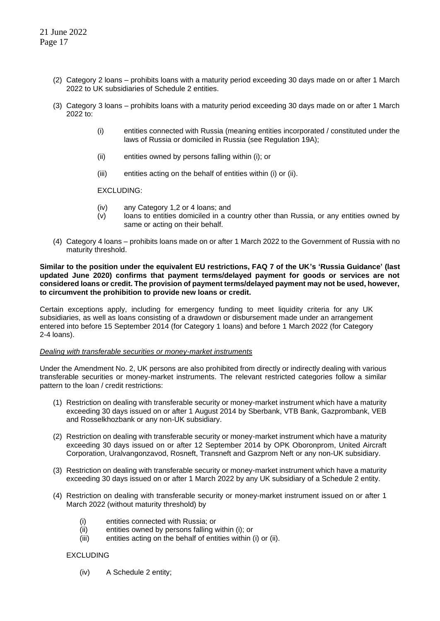- (2) Category 2 loans prohibits loans with a maturity period exceeding 30 days made on or after 1 March 2022 to UK subsidiaries of Schedule 2 entities.
- (3) Category 3 loans prohibits loans with a maturity period exceeding 30 days made on or after 1 March 2022 to:
	- (i) entities connected with Russia (meaning entities incorporated / constituted under the laws of Russia or domiciled in Russia (see Regulation 19A);
	- (ii) entities owned by persons falling within (i); or
	- (iii) entities acting on the behalf of entities within (i) or (ii).

EXCLUDING:

- (iv) any Category 1,2 or 4 loans; and
- (v) loans to entities domiciled in a country other than Russia, or any entities owned by same or acting on their behalf.
- (4) Category 4 loans prohibits loans made on or after 1 March 2022 to the Government of Russia with no maturity threshold.

**Similar to the position under the equivalent EU restrictions, FAQ 7 of the UK's 'Russia Guidance' (last updated June 2020) confirms that payment terms/delayed payment for goods or services are not considered loans or credit. The provision of payment terms/delayed payment may not be used, however, to circumvent the prohibition to provide new loans or credit.**

Certain exceptions apply, including for emergency funding to meet liquidity criteria for any UK subsidiaries, as well as loans consisting of a drawdown or disbursement made under an arrangement entered into before 15 September 2014 (for Category 1 loans) and before 1 March 2022 (for Category 2-4 loans).

### *Dealing with transferable securities or money-market instruments*

Under the Amendment No. 2, UK persons are also prohibited from directly or indirectly dealing with various transferable securities or money-market instruments. The relevant restricted categories follow a similar pattern to the loan / credit restrictions:

- (1) Restriction on dealing with transferable security or money-market instrument which have a maturity exceeding 30 days issued on or after 1 August 2014 by Sberbank, VTB Bank, Gazprombank, VEB and Rosselkhozbank or any non-UK subsidiary.
- (2) Restriction on dealing with transferable security or money-market instrument which have a maturity exceeding 30 days issued on or after 12 September 2014 by OPK Oboronprom, United Aircraft Corporation, Uralvangonzavod, Rosneft, Transneft and Gazprom Neft or any non-UK subsidiary.
- (3) Restriction on dealing with transferable security or money-market instrument which have a maturity exceeding 30 days issued on or after 1 March 2022 by any UK subsidiary of a Schedule 2 entity.
- (4) Restriction on dealing with transferable security or money-market instrument issued on or after 1 March 2022 (without maturity threshold) by
	- (i) entities connected with Russia; or
	- (ii) entities owned by persons falling within (i); or
	- (iii) entities acting on the behalf of entities within (i) or (ii).

EXCLUDING

(iv) A Schedule 2 entity;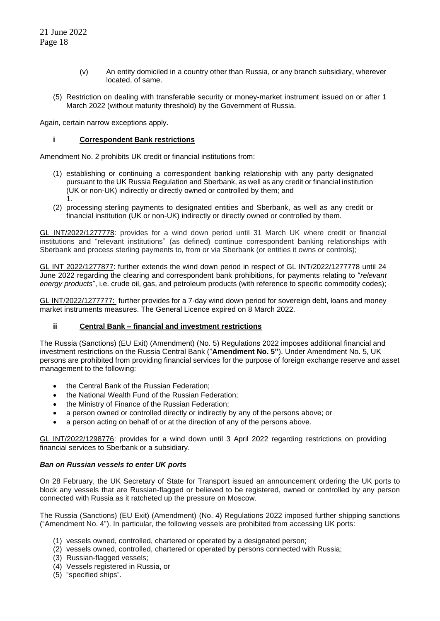- (v) An entity domiciled in a country other than Russia, or any branch subsidiary, wherever located, of same.
- (5) Restriction on dealing with transferable security or money-market instrument issued on or after 1 March 2022 (without maturity threshold) by the Government of Russia.

Again, certain narrow exceptions apply.

# **i Correspondent Bank restrictions**

Amendment No. 2 prohibits UK credit or financial institutions from:

- (1) establishing or continuing a correspondent banking relationship with any party designated pursuant to the UK Russia Regulation and Sberbank, as well as any credit or financial institution (UK or non-UK) indirectly or directly owned or controlled by them; and 1.
- (2) processing sterling payments to designated entities and Sberbank, as well as any credit or financial institution (UK or non-UK) indirectly or directly owned or controlled by them.

GL INT/2022/1277778: provides for a wind down period until 31 March UK where credit or financial institutions and "relevant institutions" (as defined) continue correspondent banking relationships with Sberbank and process sterling payments to, from or via Sberbank (or entities it owns or controls);

GL INT 2022/1277877: further extends the wind down period in respect of GL INT/2022/1277778 until 24 June 2022 regarding the clearing and correspondent bank prohibitions, for payments relating to "*relevant energy products*", i.e. crude oil, gas, and petroleum products (with reference to specific commodity codes);

GL INT/2022/1277777: further provides for a 7-day wind down period for sovereign debt, loans and money market instruments measures. The General Licence expired on 8 March 2022.

# **ii Central Bank – financial and investment restrictions**

The Russia (Sanctions) (EU Exit) (Amendment) (No. 5) Regulations 2022 imposes additional financial and investment restrictions on the Russia Central Bank ("**Amendment No. 5"**). Under Amendment No. 5, UK persons are prohibited from providing financial services for the purpose of foreign exchange reserve and asset management to the following:

- the Central Bank of the Russian Federation;
- the National Wealth Fund of the Russian Federation;
- the Ministry of Finance of the Russian Federation;
- a person owned or controlled directly or indirectly by any of the persons above; or
- a person acting on behalf of or at the direction of any of the persons above.

GL INT/2022/1298776: provides for a wind down until 3 April 2022 regarding restrictions on providing financial services to Sberbank or a subsidiary.

### *Ban on Russian vessels to enter UK ports*

On 28 February, the UK Secretary of State for Transport issued an announcement ordering the UK ports to block any vessels that are Russian-flagged or believed to be registered, owned or controlled by any person connected with Russia as it ratcheted up the pressure on Moscow.

The Russia (Sanctions) (EU Exit) (Amendment) (No. 4) Regulations 2022 imposed further shipping sanctions ("Amendment No. 4"). In particular, the following vessels are prohibited from accessing UK ports:

- (1) vessels owned, controlled, chartered or operated by a designated person;
- (2) vessels owned, controlled, chartered or operated by persons connected with Russia;
- (3) Russian-flagged vessels;
- (4) Vessels registered in Russia, or
- (5) "specified ships".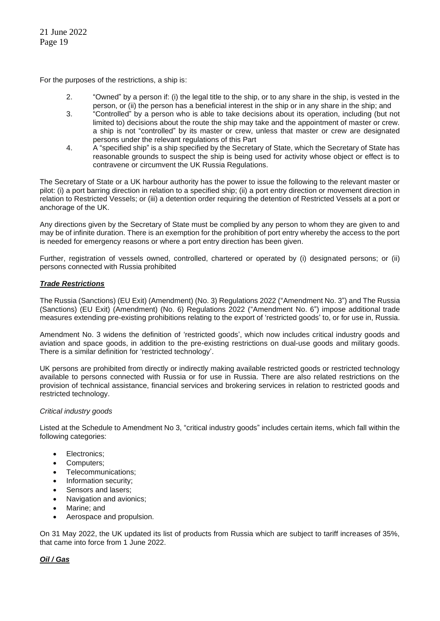For the purposes of the restrictions, a ship is:

- 2. "Owned" by a person if: (i) the legal title to the ship, or to any share in the ship, is vested in the person, or (ii) the person has a beneficial interest in the ship or in any share in the ship; and
- 3. "Controlled" by a person who is able to take decisions about its operation, including (but not limited to) decisions about the route the ship may take and the appointment of master or crew. a ship is not "controlled" by its master or crew, unless that master or crew are designated persons under the relevant regulations of this Part
- 4. A "specified ship" is a ship specified by the Secretary of State, which the Secretary of State has reasonable grounds to suspect the ship is being used for activity whose object or effect is to contravene or circumvent the UK Russia Regulations.

The Secretary of State or a UK harbour authority has the power to issue the following to the relevant master or pilot: (i) a port barring direction in relation to a specified ship; (ii) a port entry direction or movement direction in relation to Restricted Vessels; or (iii) a detention order requiring the detention of Restricted Vessels at a port or anchorage of the UK.

Any directions given by the Secretary of State must be complied by any person to whom they are given to and may be of infinite duration. There is an exemption for the prohibition of port entry whereby the access to the port is needed for emergency reasons or where a port entry direction has been given.

Further, registration of vessels owned, controlled, chartered or operated by (i) designated persons; or (ii) persons connected with Russia prohibited

# *Trade Restrictions*

The Russia (Sanctions) (EU Exit) (Amendment) (No. 3) Regulations 2022 ("Amendment No. 3") and The Russia (Sanctions) (EU Exit) (Amendment) (No. 6) Regulations 2022 ("Amendment No. 6") impose additional trade measures extending pre-existing prohibitions relating to the export of 'restricted goods' to, or for use in, Russia.

Amendment No. 3 widens the definition of 'restricted goods', which now includes critical industry goods and aviation and space goods, in addition to the pre-existing restrictions on dual-use goods and military goods. There is a similar definition for 'restricted technology'.

UK persons are prohibited from directly or indirectly making available restricted goods or restricted technology available to persons connected with Russia or for use in Russia. There are also related restrictions on the provision of technical assistance, financial services and brokering services in relation to restricted goods and restricted technology.

# *Critical industry goods*

Listed at the Schedule to Amendment No 3, "critical industry goods" includes certain items, which fall within the following categories:

- Electronics;
- Computers;
- Telecommunications;
- Information security;
- Sensors and lasers;
- Navigation and avionics;
- Marine; and
- Aerospace and propulsion.

On 31 May 2022, the UK updated its list of products from Russia which are subject to tariff increases of 35%, that came into force from 1 June 2022.

# *Oil / Gas*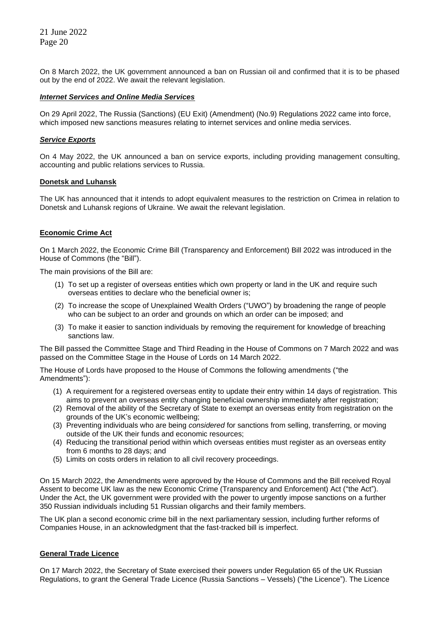On 8 March 2022, the UK government announced a ban on Russian oil and confirmed that it is to be phased out by the end of 2022. We await the relevant legislation.

### *Internet Services and Online Media Services*

On 29 April 2022, The Russia (Sanctions) (EU Exit) (Amendment) (No.9) Regulations 2022 came into force, which imposed new sanctions measures relating to internet services and online media services.

### *Service Exports*

On 4 May 2022, the UK announced a ban on service exports, including providing management consulting, accounting and public relations services to Russia.

# **Donetsk and Luhansk**

The UK has announced that it intends to adopt equivalent measures to the restriction on Crimea in relation to Donetsk and Luhansk regions of Ukraine. We await the relevant legislation.

# **Economic Crime Act**

On 1 March 2022, the Economic Crime Bill (Transparency and Enforcement) Bill 2022 was introduced in the House of Commons (the "Bill").

The main provisions of the Bill are:

- (1) To set up a register of overseas entities which own property or land in the UK and require such overseas entities to declare who the beneficial owner is;
- (2) To increase the scope of Unexplained Wealth Orders ("UWO") by broadening the range of people who can be subject to an order and grounds on which an order can be imposed; and
- (3) To make it easier to sanction individuals by removing the requirement for knowledge of breaching sanctions law.

The Bill passed the Committee Stage and Third Reading in the House of Commons on 7 March 2022 and was passed on the Committee Stage in the House of Lords on 14 March 2022.

The House of Lords have proposed to the House of Commons the following amendments ("the Amendments"):

- (1) A requirement for a registered overseas entity to update their entry within 14 days of registration. This aims to prevent an overseas entity changing beneficial ownership immediately after registration;
- (2) Removal of the ability of the Secretary of State to exempt an overseas entity from registration on the grounds of the UK's economic wellbeing;
- (3) Preventing individuals who are being *considered* for sanctions from selling, transferring, or moving outside of the UK their funds and economic resources;
- (4) Reducing the transitional period within which overseas entities must register as an overseas entity from 6 months to 28 days; and
- (5) Limits on costs orders in relation to all civil recovery proceedings.

On 15 March 2022, the Amendments were approved by the House of Commons and the Bill received Royal Assent to become UK law as the new Economic Crime (Transparency and Enforcement) Act ("the Act"). Under the Act, the UK government were provided with the power to urgently impose sanctions on a further 350 Russian individuals including 51 Russian oligarchs and their family members.

The UK plan a second economic crime bill in the next parliamentary session, including further reforms of Companies House, in an acknowledgment that the fast-tracked bill is imperfect.

### **General Trade Licence**

On 17 March 2022, the Secretary of State exercised their powers under Regulation 65 of the UK Russian Regulations, to grant the General Trade Licence (Russia Sanctions – Vessels) ("the Licence"). The Licence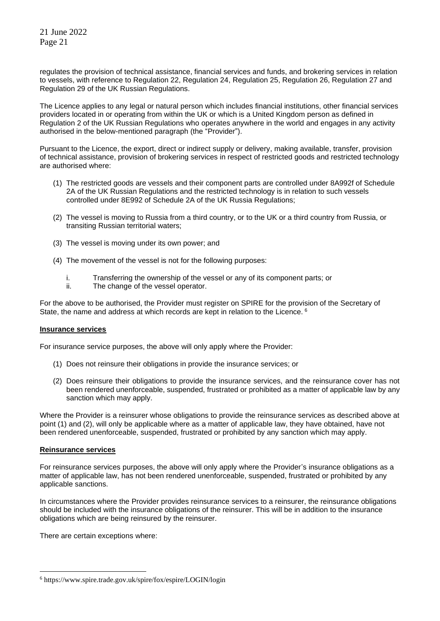regulates the provision of technical assistance, financial services and funds, and brokering services in relation to vessels, with reference to Regulation 22, Regulation 24, Regulation 25, Regulation 26, Regulation 27 and Regulation 29 of the UK Russian Regulations.

The Licence applies to any legal or natural person which includes financial institutions, other financial services providers located in or operating from within the UK or which is a United Kingdom person as defined in Regulation 2 of the UK Russian Regulations who operates anywhere in the world and engages in any activity authorised in the below-mentioned paragraph (the "Provider").

Pursuant to the Licence, the export, direct or indirect supply or delivery, making available, transfer, provision of technical assistance, provision of brokering services in respect of restricted goods and restricted technology are authorised where:

- (1) The restricted goods are vessels and their component parts are controlled under 8A992f of Schedule 2A of the UK Russian Regulations and the restricted technology is in relation to such vessels controlled under 8E992 of Schedule 2A of the UK Russia Regulations;
- (2) The vessel is moving to Russia from a third country, or to the UK or a third country from Russia, or transiting Russian territorial waters;
- (3) The vessel is moving under its own power; and
- (4) The movement of the vessel is not for the following purposes:
	- i. Transferring the ownership of the vessel or any of its component parts; or
	- ii. The change of the vessel operator.

For the above to be authorised, the Provider must register on SPIRE for the provision of the Secretary of State, the name and address at which records are kept in relation to the Licence.<sup>6</sup>

### **Insurance services**

For insurance service purposes, the above will only apply where the Provider:

- (1) Does not reinsure their obligations in provide the insurance services; or
- (2) Does reinsure their obligations to provide the insurance services, and the reinsurance cover has not been rendered unenforceable, suspended, frustrated or prohibited as a matter of applicable law by any sanction which may apply.

Where the Provider is a reinsurer whose obligations to provide the reinsurance services as described above at point (1) and (2), will only be applicable where as a matter of applicable law, they have obtained, have not been rendered unenforceable, suspended, frustrated or prohibited by any sanction which may apply.

### **Reinsurance services**

For reinsurance services purposes, the above will only apply where the Provider's insurance obligations as a matter of applicable law, has not been rendered unenforceable, suspended, frustrated or prohibited by any applicable sanctions.

In circumstances where the Provider provides reinsurance services to a reinsurer, the reinsurance obligations should be included with the insurance obligations of the reinsurer. This will be in addition to the insurance obligations which are being reinsured by the reinsurer.

There are certain exceptions where:

<sup>6</sup> https://www.spire.trade.gov.uk/spire/fox/espire/LOGIN/login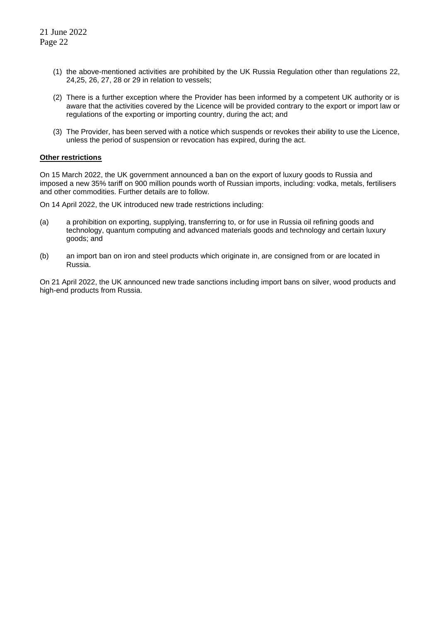- (1) the above-mentioned activities are prohibited by the UK Russia Regulation other than regulations 22, 24,25, 26, 27, 28 or 29 in relation to vessels;
- (2) There is a further exception where the Provider has been informed by a competent UK authority or is aware that the activities covered by the Licence will be provided contrary to the export or import law or regulations of the exporting or importing country, during the act; and
- (3) The Provider, has been served with a notice which suspends or revokes their ability to use the Licence, unless the period of suspension or revocation has expired, during the act.

# **Other restrictions**

On 15 March 2022, the UK government announced a ban on the export of luxury goods to Russia and imposed a new 35% tariff on 900 million pounds worth of Russian imports, including: vodka, metals, fertilisers and other commodities. Further details are to follow.

On 14 April 2022, the UK introduced new trade restrictions including:

- (a) a prohibition on exporting, supplying, transferring to, or for use in Russia oil refining goods and technology, quantum computing and advanced materials goods and technology and certain luxury goods; and
- (b) an import ban on iron and steel products which originate in, are consigned from or are located in Russia.

On 21 April 2022, the UK announced new trade sanctions including import bans on silver, wood products and high-end products from Russia.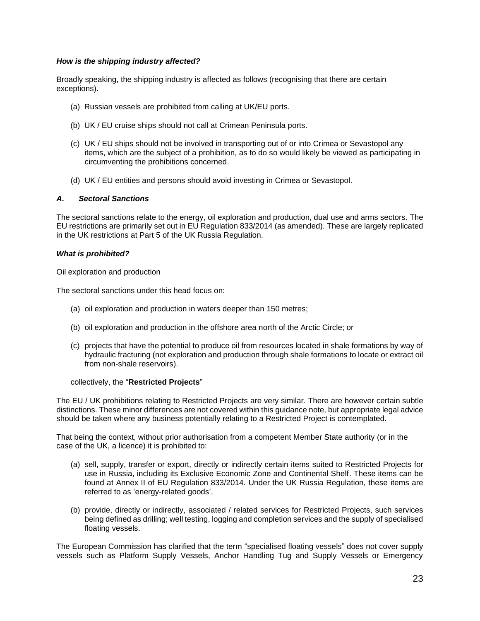# *How is the shipping industry affected?*

Broadly speaking, the shipping industry is affected as follows (recognising that there are certain exceptions).

- (a) Russian vessels are prohibited from calling at UK/EU ports.
- (b) UK / EU cruise ships should not call at Crimean Peninsula ports.
- (c) UK / EU ships should not be involved in transporting out of or into Crimea or Sevastopol any items, which are the subject of a prohibition, as to do so would likely be viewed as participating in circumventing the prohibitions concerned.
- (d) UK / EU entities and persons should avoid investing in Crimea or Sevastopol.

# *A. Sectoral Sanctions*

The sectoral sanctions relate to the energy, oil exploration and production, dual use and arms sectors. The EU restrictions are primarily set out in EU Regulation 833/2014 (as amended). These are largely replicated in the UK restrictions at Part 5 of the UK Russia Regulation.

### *What is prohibited?*

### Oil exploration and production

The sectoral sanctions under this head focus on:

- (a) oil exploration and production in waters deeper than 150 metres;
- (b) oil exploration and production in the offshore area north of the Arctic Circle; or
- (c) projects that have the potential to produce oil from resources located in shale formations by way of hydraulic fracturing (not exploration and production through shale formations to locate or extract oil from non-shale reservoirs).

### collectively, the "**Restricted Projects**"

The EU / UK prohibitions relating to Restricted Projects are very similar. There are however certain subtle distinctions. These minor differences are not covered within this guidance note, but appropriate legal advice should be taken where any business potentially relating to a Restricted Project is contemplated.

That being the context, without prior authorisation from a competent Member State authority (or in the case of the UK, a licence) it is prohibited to:

- (a) sell, supply, transfer or export, directly or indirectly certain items suited to Restricted Projects for use in Russia, including its Exclusive Economic Zone and Continental Shelf. These items can be found at Annex II of EU Regulation 833/2014. Under the UK Russia Regulation, these items are referred to as 'energy-related goods'.
- (b) provide, directly or indirectly, associated / related services for Restricted Projects, such services being defined as drilling; well testing, logging and completion services and the supply of specialised floating vessels.

The European Commission has clarified that the term "specialised floating vessels" does not cover supply vessels such as Platform Supply Vessels, Anchor Handling Tug and Supply Vessels or Emergency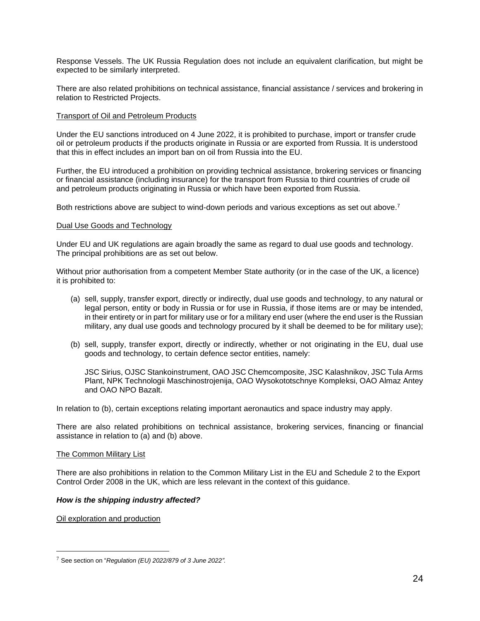Response Vessels. The UK Russia Regulation does not include an equivalent clarification, but might be expected to be similarly interpreted.

There are also related prohibitions on technical assistance, financial assistance / services and brokering in relation to Restricted Projects.

### Transport of Oil and Petroleum Products

Under the EU sanctions introduced on 4 June 2022, it is prohibited to purchase, import or transfer crude oil or petroleum products if the products originate in Russia or are exported from Russia. It is understood that this in effect includes an import ban on oil from Russia into the EU.

Further, the EU introduced a prohibition on providing technical assistance, brokering services or financing or financial assistance (including insurance) for the transport from Russia to third countries of crude oil and petroleum products originating in Russia or which have been exported from Russia.

Both restrictions above are subject to wind-down periods and various exceptions as set out above.<sup>7</sup>

# Dual Use Goods and Technology

Under EU and UK regulations are again broadly the same as regard to dual use goods and technology. The principal prohibitions are as set out below.

Without prior authorisation from a competent Member State authority (or in the case of the UK, a licence) it is prohibited to:

- (a) sell, supply, transfer export, directly or indirectly, dual use goods and technology, to any natural or legal person, entity or body in Russia or for use in Russia, if those items are or may be intended, in their entirety or in part for military use or for a military end user (where the end user is the Russian military, any dual use goods and technology procured by it shall be deemed to be for military use);
- (b) sell, supply, transfer export, directly or indirectly, whether or not originating in the EU, dual use goods and technology, to certain defence sector entities, namely:

JSC Sirius, OJSC Stankoinstrument, OAO JSC Chemcomposite, JSC Kalashnikov, JSC Tula Arms Plant, NPK Technologii Maschinostrojenija, OAO Wysokototschnye Kompleksi, OAO Almaz Antey and OAO NPO Bazalt.

In relation to (b), certain exceptions relating important aeronautics and space industry may apply.

There are also related prohibitions on technical assistance, brokering services, financing or financial assistance in relation to (a) and (b) above.

### The Common Military List

There are also prohibitions in relation to the Common Military List in the EU and Schedule 2 to the Export Control Order 2008 in the UK, which are less relevant in the context of this guidance.

# *How is the shipping industry affected?*

Oil exploration and production

<sup>7</sup> See section on "*Regulation (EU) 2022/879 of 3 June 2022".*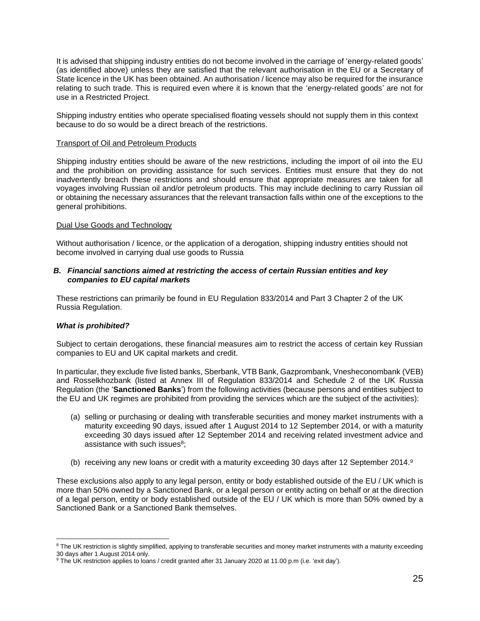It is advised that shipping industry entities do not become involved in the carriage of 'energy-related goods' (as identified above) unless they are satisfied that the relevant authorisation in the EU or a Secretary of State licence in the UK has been obtained. An authorisation / licence may also be required for the insurance relating to such trade. This is required even where it is known that the 'energy-related goods' are not for use in a Restricted Project.

Shipping industry entities who operate specialised floating vessels should not supply them in this context because to do so would be a direct breach of the restrictions.

### Transport of Oil and Petroleum Products

Shipping industry entities should be aware of the new restrictions, including the import of oil into the EU and the prohibition on providing assistance for such services. Entities must ensure that they do not inadvertently breach these restrictions and should ensure that appropriate measures are taken for all voyages involving Russian oil and/or petroleum products. This may include declining to carry Russian oil or obtaining the necessary assurances that the relevant transaction falls within one of the exceptions to the general prohibitions.

# Dual Use Goods and Technology

Without authorisation / licence, or the application of a derogation, shipping industry entities should not become involved in carrying dual use goods to Russia

# *B. Financial sanctions aimed at restricting the access of certain Russian entities and key companies to EU capital markets*

These restrictions can primarily be found in EU Regulation 833/2014 and Part 3 Chapter 2 of the UK Russia Regulation.

# *What is prohibited?*

Subject to certain derogations, these financial measures aim to restrict the access of certain key Russian companies to EU and UK capital markets and credit.

In particular, they exclude five listed banks, Sberbank, VTB Bank, Gazprombank, Vnesheconombank (VEB) and Rosselkhozbank (listed at Annex III of Regulation 833/2014 and Schedule 2 of the UK Russia Regulation (the '**Sanctioned Banks**') from the following activities (because persons and entities subject to the EU and UK regimes are prohibited from providing the services which are the subject of the activities):

- (a) selling or purchasing or dealing with transferable securities and money market instruments with a maturity exceeding 90 days, issued after 1 August 2014 to 12 September 2014, or with a maturity exceeding 30 days issued after 12 September 2014 and receiving related investment advice and assistance with such issues<sup>8</sup>;
- (b) receiving any new loans or credit with a maturity exceeding 30 days after 12 September 2014.<sup>9</sup>

These exclusions also apply to any legal person, entity or body established outside of the EU / UK which is more than 50% owned by a Sanctioned Bank, or a legal person or entity acting on behalf or at the direction of a legal person, entity or body established outside of the EU / UK which is more than 50% owned by a Sanctioned Bank or a Sanctioned Bank themselves.

<sup>&</sup>lt;sup>8</sup> The UK restriction is slightly simplified, applying to transferable securities and money market instruments with a maturity exceeding 30 days after 1 August 2014 only.

<sup>9</sup> The UK restriction applies to loans / credit granted after 31 January 2020 at 11.00 p.m (i.e. 'exit day').